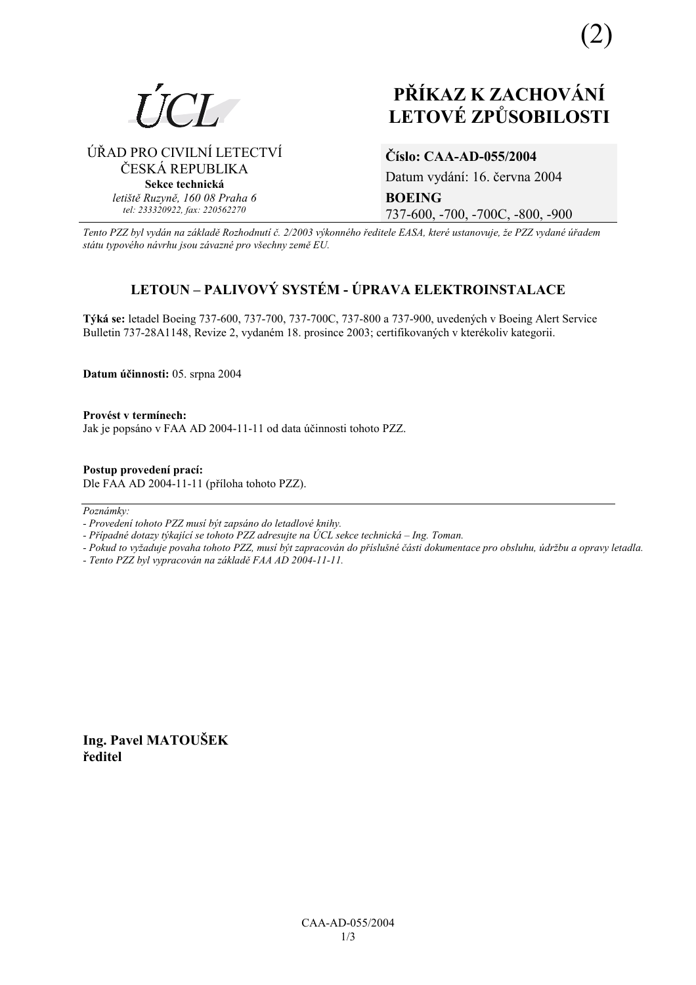

# **PŘÍKAZ K ZACHOVÁNÍ LETOV… ZPŮSOBILOSTI**

## ⁄ŘAD PRO CIVILNÕ LETECTVÕ ČESKÁ REPUBLIKA **Sekce technická** *letiötě Ruzyně, 160 08 Praha 6 tel: 233320922, fax: 220562270*

## **ČÌslo: CAA-AD-055/2004**

Datum vydání: 16. června 2004 **BOEING**  737-600, -700, -700C, -800, -900

*Tento PZZ byl vyd·n na z·kladě RozhodnutÌ č. 2/2003 v˝konnÈho ředitele EASA, kterÈ ustanovuje, ûe PZZ vydanÈ ˙řadem st·tu typovÈho n·vrhu jsou z·vaznÈ pro vöechny země EU.*

# **LETOUN – PALIVOVÝ SYSTÉM - ÚPRAVA ELEKTROINSTALACE**

**T˝k· se:** letadel Boeing 737-600, 737-700, 737-700C, 737-800 a 737-900, uveden˝ch v Boeing Alert Service Bulletin 737-28A1148, Revize 2, vydaném 18. prosince 2003; certifikovaných v kterékoliv kategorii.

**Datum ˙činnosti:** 05. srpna 2004

Provést v termínech: Jak je popsáno v FAA AD 2004-11-11 od data účinnosti tohoto PZZ.

**Postup provedenÌ pracÌ:**  Dle FAA AD 2004-11-11 (přÌloha tohoto PZZ).

 $Poznámkv$ 

- *Pokud to vyûaduje povaha tohoto PZZ, musÌ b˝t zapracov·n do přÌsluönÈ č·sti dokumentace pro obsluhu, ˙drûbu a opravy letadla.*
- *Tento PZZ byl vypracov·n na z·kladě FAA AD 2004-11-11.*

**Ing. Pavel MATOUäEK ředitel** 

*<sup>-</sup> ProvedenÌ tohoto PZZ musÌ b˝t zaps·no do letadlovÈ knihy.* 

*<sup>-</sup> Případné dotazy týkající se tohoto PZZ adresujte na ÚCL sekce technická – Ing. Toman.*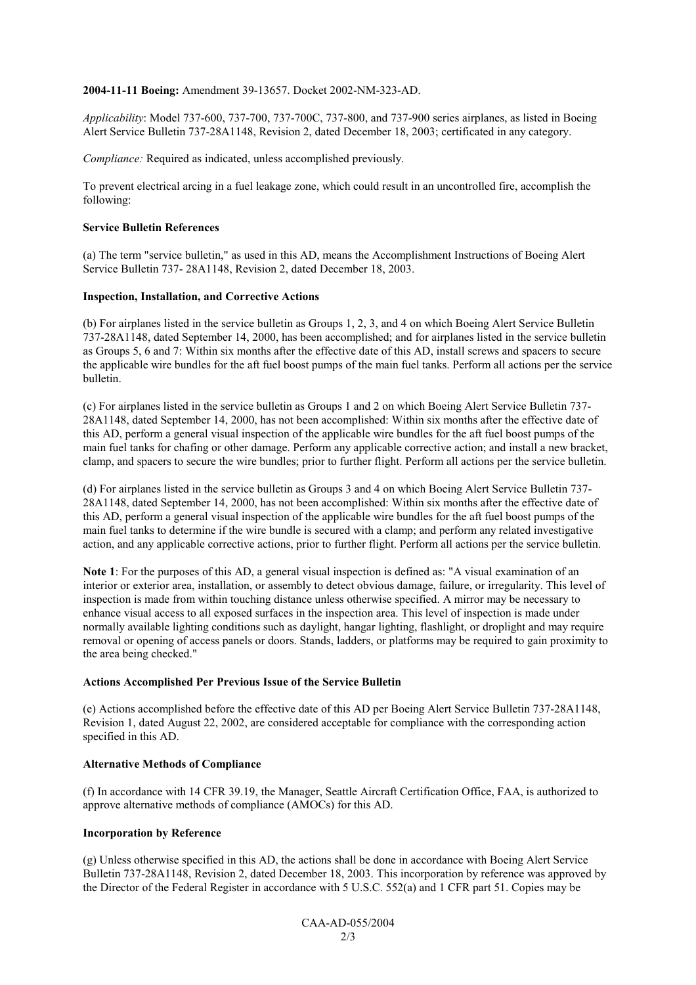#### **2004-11-11 Boeing:** Amendment 39-13657. Docket 2002-NM-323-AD.

*Applicability*: Model 737-600, 737-700, 737-700C, 737-800, and 737-900 series airplanes, as listed in Boeing Alert Service Bulletin 737-28A1148, Revision 2, dated December 18, 2003; certificated in any category.

*Compliance:* Required as indicated, unless accomplished previously.

To prevent electrical arcing in a fuel leakage zone, which could result in an uncontrolled fire, accomplish the following:

#### **Service Bulletin References**

(a) The term "service bulletin," as used in this AD, means the Accomplishment Instructions of Boeing Alert Service Bulletin 737- 28A1148, Revision 2, dated December 18, 2003.

#### **Inspection, Installation, and Corrective Actions**

(b) For airplanes listed in the service bulletin as Groups 1, 2, 3, and 4 on which Boeing Alert Service Bulletin 737-28A1148, dated September 14, 2000, has been accomplished; and for airplanes listed in the service bulletin as Groups 5, 6 and 7: Within six months after the effective date of this AD, install screws and spacers to secure the applicable wire bundles for the aft fuel boost pumps of the main fuel tanks. Perform all actions per the service bulletin.

(c) For airplanes listed in the service bulletin as Groups 1 and 2 on which Boeing Alert Service Bulletin 737- 28A1148, dated September 14, 2000, has not been accomplished: Within six months after the effective date of this AD, perform a general visual inspection of the applicable wire bundles for the aft fuel boost pumps of the main fuel tanks for chafing or other damage. Perform any applicable corrective action; and install a new bracket, clamp, and spacers to secure the wire bundles; prior to further flight. Perform all actions per the service bulletin.

(d) For airplanes listed in the service bulletin as Groups 3 and 4 on which Boeing Alert Service Bulletin 737- 28A1148, dated September 14, 2000, has not been accomplished: Within six months after the effective date of this AD, perform a general visual inspection of the applicable wire bundles for the aft fuel boost pumps of the main fuel tanks to determine if the wire bundle is secured with a clamp; and perform any related investigative action, and any applicable corrective actions, prior to further flight. Perform all actions per the service bulletin.

**Note 1**: For the purposes of this AD, a general visual inspection is defined as: "A visual examination of an interior or exterior area, installation, or assembly to detect obvious damage, failure, or irregularity. This level of inspection is made from within touching distance unless otherwise specified. A mirror may be necessary to enhance visual access to all exposed surfaces in the inspection area. This level of inspection is made under normally available lighting conditions such as daylight, hangar lighting, flashlight, or droplight and may require removal or opening of access panels or doors. Stands, ladders, or platforms may be required to gain proximity to the area being checked."

#### **Actions Accomplished Per Previous Issue of the Service Bulletin**

(e) Actions accomplished before the effective date of this AD per Boeing Alert Service Bulletin 737-28A1148, Revision 1, dated August 22, 2002, are considered acceptable for compliance with the corresponding action specified in this AD.

#### **Alternative Methods of Compliance**

(f) In accordance with 14 CFR 39.19, the Manager, Seattle Aircraft Certification Office, FAA, is authorized to approve alternative methods of compliance (AMOCs) for this AD.

#### **Incorporation by Reference**

(g) Unless otherwise specified in this AD, the actions shall be done in accordance with Boeing Alert Service Bulletin 737-28A1148, Revision 2, dated December 18, 2003. This incorporation by reference was approved by the Director of the Federal Register in accordance with 5 U.S.C. 552(a) and 1 CFR part 51. Copies may be